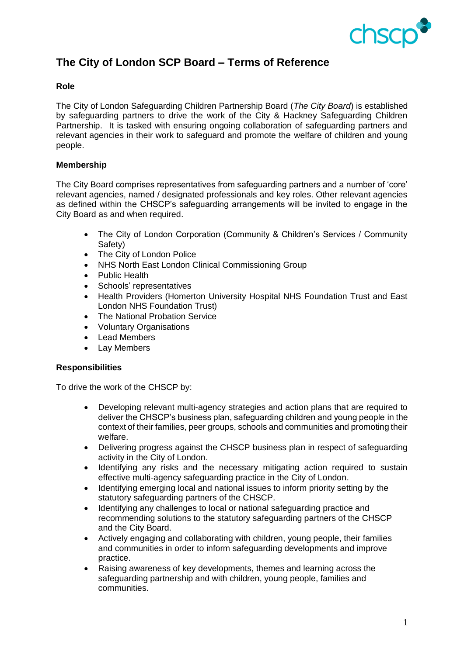

# **The City of London SCP Board – Terms of Reference**

### **Role**

The City of London Safeguarding Children Partnership Board (*The City Board*) is established by safeguarding partners to drive the work of the City & Hackney Safeguarding Children Partnership. It is tasked with ensuring ongoing collaboration of safeguarding partners and relevant agencies in their work to safeguard and promote the welfare of children and young people.

### **Membership**

The City Board comprises representatives from safeguarding partners and a number of 'core' relevant agencies, named / designated professionals and key roles. Other relevant agencies as defined within the CHSCP's safeguarding arrangements will be invited to engage in the City Board as and when required.

- The City of London Corporation (Community & Children's Services / Community Safety)
- The City of London Police
- NHS North East London Clinical Commissioning Group
- Public Health
- Schools' representatives
- Health Providers (Homerton University Hospital NHS Foundation Trust and East London NHS Foundation Trust)
- The National Probation Service
- Voluntary Organisations
- Lead Members
- Lay Members

### **Responsibilities**

To drive the work of the CHSCP by:

- Developing relevant multi-agency strategies and action plans that are required to deliver the CHSCP's business plan, safeguarding children and young people in the context of their families, peer groups, schools and communities and promoting their welfare.
- Delivering progress against the CHSCP business plan in respect of safeguarding activity in the City of London.
- Identifying any risks and the necessary mitigating action required to sustain effective multi-agency safeguarding practice in the City of London.
- Identifying emerging local and national issues to inform priority setting by the statutory safeguarding partners of the CHSCP.
- Identifying any challenges to local or national safeguarding practice and recommending solutions to the statutory safeguarding partners of the CHSCP and the City Board.
- Actively engaging and collaborating with children, young people, their families and communities in order to inform safeguarding developments and improve practice.
- Raising awareness of key developments, themes and learning across the safeguarding partnership and with children, young people, families and communities.